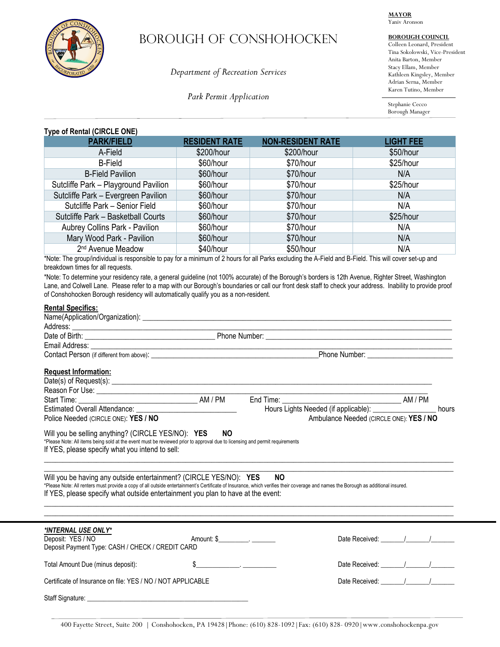

# Borough OF conshohocken

*Department of Recreation Services*

*Park Permit Application*

**MAYOR** Yaniv Aronson

# **BOROUGH COUNCIL**

Colleen Leonard, President Tina Sokolowski, Vice-President Anita Barton, Member Stacy Ellam, Member Kathleen Kingsley, Member Adrian Serna, Member Karen Tutino, Member

Stephanie Cecco Borough Manager

# **Type of Rental (CIRCLE ONE)**

| . .<br><b>PARK/FIELD</b>             | <b>RESIDENT RATE</b> | <b>NON-RESIDENT RATE</b> | <b>LIGHT FEE</b> |
|--------------------------------------|----------------------|--------------------------|------------------|
| A-Field                              | \$200/hour           | \$200/hour               | \$50/hour        |
| <b>B-Field</b>                       | \$60/hour            | \$70/hour                | \$25/hour        |
| <b>B-Field Pavilion</b>              | \$60/hour            | \$70/hour                | N/A              |
| Sutcliffe Park - Playground Pavilion | \$60/hour            | \$70/hour                | \$25/hour        |
| Sutcliffe Park - Evergreen Pavilion  | \$60/hour            | \$70/hour                | N/A              |
| Sutcliffe Park - Senior Field        | \$60/hour            | \$70/hour                | N/A              |
| Sutcliffe Park - Basketball Courts   | \$60/hour            | \$70/hour                | \$25/hour        |
| Aubrey Collins Park - Pavilion       | \$60/hour            | \$70/hour                | N/A              |
| Mary Wood Park - Pavilion            | \$60/hour            | \$70/hour                | N/A              |
| 2 <sup>nd</sup> Avenue Meadow        | \$40/hour            | \$50/hour                | N/A              |

\*Note: The group/individual is responsible to pay for a minimum of 2 hours for all Parks excluding the A-Field and B-Field. This will cover set-up and breakdown times for all requests.

\*Note: To determine your residency rate, a general guideline (not 100% accurate) of the Borough's borders is 12th Avenue, Righter Street, Washington Lane, and Colwell Lane. Please refer to a map with our Borough's boundaries or call our front desk staff to check your address. Inability to provide proof of Conshohocken Borough residency will automatically qualify you as a non-resident.

# **Rental Specifics:**

| <b>Request Information:</b>                                                                                                                                                                                                                                                                                                                 |                                                 |           |                                                                                                                                                                                                                                                                                                                                                                                                                   |  |       |
|---------------------------------------------------------------------------------------------------------------------------------------------------------------------------------------------------------------------------------------------------------------------------------------------------------------------------------------------|-------------------------------------------------|-----------|-------------------------------------------------------------------------------------------------------------------------------------------------------------------------------------------------------------------------------------------------------------------------------------------------------------------------------------------------------------------------------------------------------------------|--|-------|
|                                                                                                                                                                                                                                                                                                                                             |                                                 |           |                                                                                                                                                                                                                                                                                                                                                                                                                   |  |       |
|                                                                                                                                                                                                                                                                                                                                             |                                                 |           |                                                                                                                                                                                                                                                                                                                                                                                                                   |  |       |
|                                                                                                                                                                                                                                                                                                                                             |                                                 |           |                                                                                                                                                                                                                                                                                                                                                                                                                   |  |       |
|                                                                                                                                                                                                                                                                                                                                             |                                                 |           | Hours Lights Needed (if applicable): _________________                                                                                                                                                                                                                                                                                                                                                            |  | hours |
| Police Needed (CIRCLE ONE): YES / NO                                                                                                                                                                                                                                                                                                        | Ambulance Needed (CIRCLE ONE): YES / NO         |           |                                                                                                                                                                                                                                                                                                                                                                                                                   |  |       |
|                                                                                                                                                                                                                                                                                                                                             | If YES, please specify what you intend to sell: |           |                                                                                                                                                                                                                                                                                                                                                                                                                   |  |       |
| Will you be having any outside entertainment? (CIRCLE YES/NO): YES<br>*Please Note: All renters must provide a copy of all outside entertainment's Certificate of Insurance, which verifies their coverage and names the Borough as additional insured.<br>If YES, please specify what outside entertainment you plan to have at the event: |                                                 | <b>NO</b> |                                                                                                                                                                                                                                                                                                                                                                                                                   |  |       |
| *INTERNAL USE ONLY*<br>Deposit: YES / NO<br>Deposit Payment Type: CASH / CHECK / CREDIT CARD                                                                                                                                                                                                                                                | Amount: \$                                      |           |                                                                                                                                                                                                                                                                                                                                                                                                                   |  |       |
| Total Amount Due (minus deposit):                                                                                                                                                                                                                                                                                                           |                                                 |           |                                                                                                                                                                                                                                                                                                                                                                                                                   |  |       |
| Certificate of Insurance on file: YES / NO / NOT APPLICABLE                                                                                                                                                                                                                                                                                 |                                                 |           | Date Received: $\frac{1}{\sqrt{1-\frac{1}{2}}}\frac{1}{\sqrt{1-\frac{1}{2}}}\frac{1}{\sqrt{1-\frac{1}{2}}}\frac{1}{\sqrt{1-\frac{1}{2}}}\frac{1}{\sqrt{1-\frac{1}{2}}}\frac{1}{\sqrt{1-\frac{1}{2}}}\frac{1}{\sqrt{1-\frac{1}{2}}}\frac{1}{\sqrt{1-\frac{1}{2}}}\frac{1}{\sqrt{1-\frac{1}{2}}}\frac{1}{\sqrt{1-\frac{1}{2}}}\frac{1}{\sqrt{1-\frac{1}{2}}}\frac{1}{\sqrt{1-\frac{1}{2}}}\frac{1}{\sqrt{1-\frac{1$ |  |       |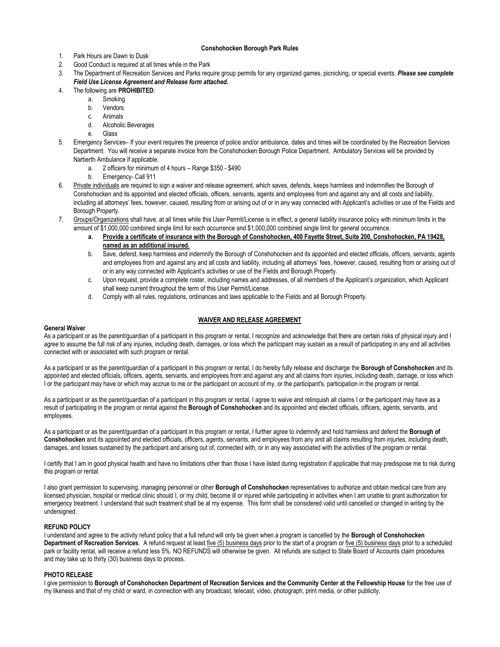## **Conshohocken Borough Park Rules**

- 1. Park Hours are Dawn to Dusk
- 2. Good Conduct is required at all times while in the Park
- 3. The Department of Recreation Services and Parks require group permits for any organized games, picnicking, or special events. *Please see complete Field Use License Agreement and Release form attached.*

## 4. The following are **PROHIBITED**:

- a. Smoking
- b. Vendors
- c. Animals
- d. Alcoholic Beverages
- e. Glass
- 5. Emergency Services– If your event requires the presence of police and/or ambulance, dates and times will be coordinated by the Recreation Services Department. You will receive a separate invoice from the Conshohocken Borough Police Department. Ambulatory Services will be provided by Narberth Ambulance if applicable.
	- a. 2 officers for minimum of 4 hours Range \$350 \$490
	- b. Emergency- Call 911
- 6. Private individuals are required to sign a waiver and release agreement, which saves, defends, keeps harmless and indemnifies the Borough of Conshohocken and its appointed and elected officials, officers, servants, agents and employees from and against any and all costs and liability, including all attorneys' fees, however, caused, resulting from or arising out of or in any way connected with Applicant's activities or use of the Fields and Borough Property.
- 7. Groups/Organizations shall have, at all times while this User Permit/License is in effect, a general liability insurance policy with minimum limits in the amount of \$1,000,000 combined single limit for each occurrence and \$1,000,000 combined single limit for general occurrence.
	- **a. Provide a certificate of insurance with the Borough of Conshohocken, 400 Fayette Street, Suite 200, Conshohocken, PA 19428, named as an additional insured.**
	- b. Save, defend, keep harmless and indemnify the Borough of Conshohocken and its appointed and elected officials, officers, servants, agents and employees from and against any and all costs and liability, including all attorneys' fees, however, caused, resulting from or arising out of or in any way connected with Applicant's activities or use of the Fields and Borough Property.
	- c. Upon request, provide a complete roster, including names and addresses, of all members of the Applicant's organization, which Applicant shall keep current throughout the term of this User Permit/License.
	- d. Comply with all rules, regulations, ordinances and laws applicable to the Fields and all Borough Property.

## **WAIVER AND RELEASE AGREEMENT**

### **General Waiver**

As a participant or as the parent/guardian of a participant in this program or rental, I recognize and acknowledge that there are certain risks of physical injury and I agree to assume the full risk of any injuries, including death, damages, or loss which the participant may sustain as a result of participating in any and all activities connected with or associated with such program or rental.

As a participant or as the parent/guardian of a participant in this program or rental, I do hereby fully release and discharge the **Borough of Conshohocken** and its appointed and elected officials, officers, agents, servants, and employees from and against any and all claims from injuries, including death, damage, or loss which I or the participant may have or which may accrue to me or the participant on account of my, or the participant's, participation in the program or rental.

As a participant or as the parent/quardian of a participant in this program or rental, I agree to waive and relinguish all claims I or the participant may have as a result of participating in the program or rental against the **Borough of Conshohocken** and its appointed and elected officials, officers, agents, servants, and employees.

As a participant or as the parent/guardian of a participant in this program or rental, I further agree to indemnify and hold harmless and defend the **Borough of Conshohocken** and its appointed and elected officials, officers, agents, servants, and employees from any and all claims resulting from injuries, including death, damages, and losses sustained by the participant and arising out of, connected with, or in any way associated with the activities of the program or rental.

I certify that I am in good physical health and have no limitations other than those I have listed during registration if applicable that may predispose me to risk during this program or rental.

I also grant permission to supervising, managing personnel or other **Borough of Conshohocken** representatives to authorize and obtain medical care from any licensed physician, hospital or medical clinic should I, or my child, become ill or injured while participating in activities when I am unable to grant authorization for emergency treatment. I understand that such treatment shall be at my expense. This form shall be considered valid until cancelled or changed in writing by the undersigned.

### **REFUND POLICY**

I understand and agree to the activity refund policy that a full refund will only be given when a program is cancelled by the **Borough of Conshohocken Department of Recreation Services**. A refund request at least five (5) business days prior to the start of a program or five (5) business days prior to a scheduled park or facility rental, will receive a refund less 5%. NO REFUNDS will otherwise be given. All refunds are subject to State Board of Accounts claim procedures and may take up to thirty (30) business days to process.

## **PHOTO RELEASE**

I give permission to **Borough of Conshohocken Department of Recreation Services and the Community Center at the Fellowship House** for the free use of my likeness and that of my child or ward, in connection with any broadcast, telecast, video, photograph, print media, or other publicity.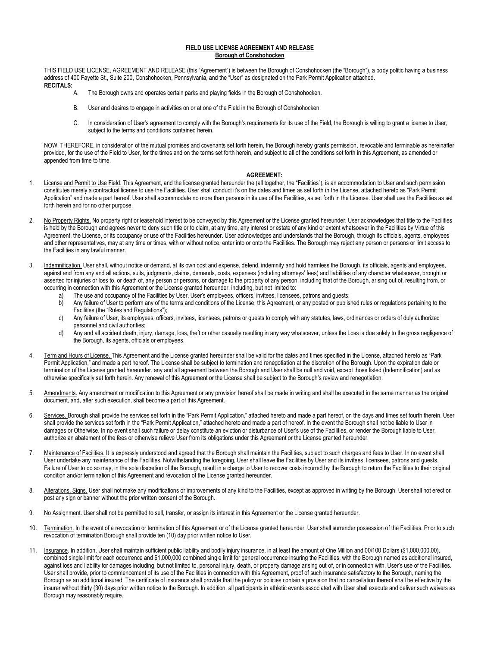#### **FIELD USE LICENSE AGREEMENT AND RELEASE Borough of Conshohocken**

THIS FIELD USE LICENSE, AGREEMENT AND RELEASE (this "Agreement") is between the Borough of Conshohocken (the "Borough"), a body politic having a business address of 400 Fayette St., Suite 200, Conshohocken, Pennsylvania, and the "User" as designated on the Park Permit Application attached. **RECITALS:**

- The Borough owns and operates certain parks and playing fields in the Borough of Conshohocken.
- B. User and desires to engage in activities on or at one of the Field in the Borough of Conshohocken.
- C. In consideration of User's agreement to comply with the Borough's requirements for its use of the Field, the Borough is willing to grant a license to User, subject to the terms and conditions contained herein.

NOW, THEREFORE, in consideration of the mutual promises and covenants set forth herein, the Borough hereby grants permission, revocable and terminable as hereinafter provided, for the use of the Field to User, for the times and on the terms set forth herein, and subject to all of the conditions set forth in this Agreement, as amended or appended from time to time.

#### **AGREEMENT:**

- 1. License and Permit to Use Field. This Agreement, and the license granted hereunder the (all together, the "Facilities"), is an accommodation to User and such permission constitutes merely a contractual license to use the Facilities. User shall conduct it's on the dates and times as set forth in the License, attached hereto as "Park Permit Application" and made a part hereof. User shall accommodate no more than persons in its use of the Facilities, as set forth in the License. User shall use the Facilities as set forth herein and for no other purpose.
- 2. No Property Rights. No property right or leasehold interest to be conveyed by this Agreement or the License granted hereunder. User acknowledges that title to the Facilities is held by the Borough and agrees never to deny such title or to claim, at any time, any interest or estate of any kind or extent whatsoever in the Facilities by Virtue of this Agreement, the License, or its occupancy or use of the Facilities hereunder. User acknowledges and understands that the Borough, through its officials, agents, employees and other representatives, may at any time or times, with or without notice, enter into or onto the Facilities. The Borough may reject any person or persons or limit access to the Facilities in any lawful manner.
- Indemnification. User shall, without notice or demand, at its own cost and expense, defend, indemnify and hold harmless the Borough, its officials, agents and employees, against and from any and all actions, suits, judgments, claims, demands, costs, expenses (including attorneys' fees) and liabilities of any character whatsoever, brought or asserted for injuries or loss to, or death of, any person or persons, or damage to the property of any person, including that of the Borough, arising out of, resulting from, or occurring in connection with this Agreement or the License granted hereunder, including, but not limited to:
	- The use and occupancy of the Facilities by User, User's employees, officers, invitees, licensees, patrons and guests;
	- b) Any failure of User to perform any of the terms and conditions of the License, this Agreement, or any posted or published rules or regulations pertaining to the Facilities (the "Rules and Regulations");
	- c) Any failure of User, its employees, officers, invitees, licensees, patrons or guests to comply with any statutes, laws, ordinances or orders of duly authorized personnel and civil authorities;
	- d) Any and all accident death, injury, damage, loss, theft or other casualty resulting in any way whatsoever, unless the Loss is due solely to the gross negligence of the Borough, its agents, officials or employees.
- 4. Term and Hours of License. This Agreement and the License granted hereunder shall be valid for the dates and times specified in the License, attached hereto as "Park Permit Application," and made a part hereof. The License shall be subject to termination and renegotiation at the discretion of the Borough. Upon the expiration date or termination of the License granted hereunder, any and all agreement between the Borough and User shall be null and void, except those listed (Indemnification) and as otherwise specifically set forth herein. Any renewal of this Agreement or the License shall be subject to the Borough's review and renegotiation.
- 5. Amendments. Any amendment or modification to this Agreement or any provision hereof shall be made in writing and shall be executed in the same manner as the original document, and, after such execution, shall become a part of this Agreement.
- 6. Services. Borough shall provide the services set forth in the "Park Permit Application," attached hereto and made a part hereof, on the days and times set fourth therein. User shall provide the services set forth in the "Park Permit Application," attached hereto and made a part of hereof. In the event the Borough shall not be liable to User in damages or Otherwise. In no event shall such failure or delay constitute an eviction or disturbance of User's use of the Facilities, or render the Borough liable to User, authorize an abatement of the fees or otherwise relieve User from its obligations under this Agreement or the License granted hereunder.
- 7. Maintenance of Facilities. It is expressly understood and agreed that the Borough shall maintain the Facilities, subject to such charges and fees to User. In no event shall User undertake any maintenance of the Facilities. Notwithstanding the foregoing, User shall leave the Facilities by User and its invitees, licensees, patrons and guests. Failure of User to do so may, in the sole discretion of the Borough, result in a charge to User to recover costs incurred by the Borough to return the Facilities to their original condition and/or termination of this Agreement and revocation of the License granted hereunder.
- 8. Alterations, Signs. User shall not make any modifications or improvements of any kind to the Facilities, except as approved in writing by the Borough. User shall not erect or post any sign or banner without the prior written consent of the Borough.
- 9. No Assignment. User shall not be permitted to sell, transfer, or assign its interest in this Agreement or the License granted hereunder.
- 10. Termination. In the event of a revocation or termination of this Agreement or of the License granted hereunder, User shall surrender possession of the Facilities. Prior to such revocation of termination Borough shall provide ten (10) day prior written notice to User.
- 11. Insurance. In addition, User shall maintain sufficient public liability and bodily injury insurance, in at least the amount of One Million and 00/100 Dollars (\$1,000,000.00), combined single limit for each occurrence and \$1,000,000 combined single limit for general occurrence insuring the Facilities, with the Borough named as additional insured, against loss and liability for damages including, but not limited to, personal injury, death, or property damage arising out of, or in connection with, User's use of the Facilities. User shall provide, prior to commencement of its use of the Facilities in connection with this Agreement, proof of such insurance satisfactory to the Borough, naming the Borough as an additional insured. The certificate of insurance shall provide that the policy or policies contain a provision that no cancellation thereof shall be effective by the insurer without thirty (30) days prior written notice to the Borough. In addition, all participants in athletic events associated with User shall execute and deliver such waivers as Borough may reasonably require.